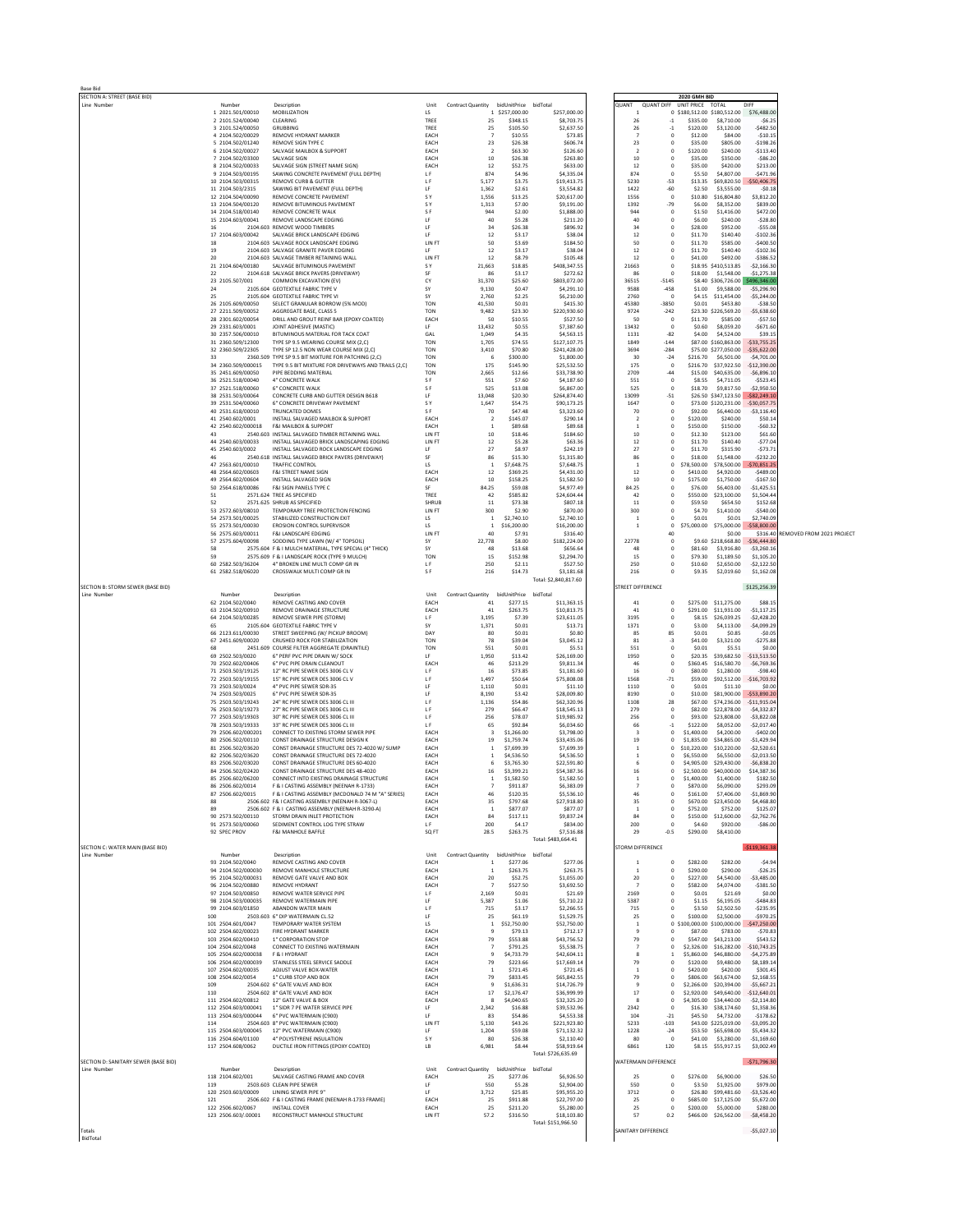| <b>Base Bid</b>                                  |                                            |                                                                                              |                          |                                         |                                   |                                   |              |                                  |                                                    |                                               |                                |                           |
|--------------------------------------------------|--------------------------------------------|----------------------------------------------------------------------------------------------|--------------------------|-----------------------------------------|-----------------------------------|-----------------------------------|--------------|----------------------------------|----------------------------------------------------|-----------------------------------------------|--------------------------------|---------------------------|
| SECTION A: STREET (BASE BID)<br>Line Number      | Number                                     | Description                                                                                  | Unit                     | Contract Quantity bidUnitPrice bidTotal |                                   |                                   | <b>QUANT</b> |                                  | <b>2020 GMH BID</b><br>QUANT DIFF UNIT PRICE TOTAL |                                               | DIFF                           |                           |
|                                                  | 1 2021.501/00010                           | MOBILIZATION                                                                                 | LS                       |                                         | 1 \$257,000.00                    | \$257,000.00                      |              |                                  | 0 \$180,512.00 \$180,512.00                        |                                               | \$76,488.0                     |                           |
|                                                  | 2 2101.524/00040<br>3 2101.524/00050       | CLEARING<br><b>GRUBBING</b>                                                                  | TREE<br>TREE             | 25<br>25                                | \$348.15<br>\$105.50              | \$8,703.75<br>\$2,637.50          |              | 26<br>26                         | \$335.00<br>$\cdot$ 1<br>$-1$<br>\$120.00          | \$8,710.00<br>\$3,120.00                      | $-56.2$<br>$-5482.5$           |                           |
|                                                  | 4 2104.502/00029                           | REMOVE HYDRANT MARKER                                                                        | EACH                     | $\overline{7}$                          | \$10.55                           | \$73.85                           |              | $\overline{7}$                   | $\circ$<br>\$12.00                                 | \$84.00                                       | $-510.1$                       |                           |
|                                                  | 5 2104.502/01240<br>6 2104.502/00027       | REMOVE SIGN TYPE C<br>SALVAGE MAILBOX & SUPPORT                                              | EACH<br>EACH             | 23<br>$\overline{2}$                    | \$26.38<br>\$63.30                | \$606.74<br>\$126.60              |              | 23<br>$\overline{2}$             | $\circ$<br>\$35.00<br>$\,$ 0<br>\$120.00           | \$805.00<br>\$240.00                          | $-5198.2$<br>$-$113.40$        |                           |
|                                                  | 7 2104.502/03300                           | SALVAGE SIGN                                                                                 | EACH                     | 10                                      | \$26.38                           | \$263.80                          |              | 10                               | $^{\circ}$<br>\$35.00                              | \$350.00                                      | $-586.2$                       |                           |
|                                                  | 8 2104.502/00033<br>9 2104.503/00195       | SALVAGE SIGN (STREET NAME SIGN)<br>SAWING CONCRETE PAVEMENT (FULL DEPTH)                     | EACH<br>LF               | 12<br>874                               | \$52.75<br>\$4.96                 | \$633.00<br>\$4,335.04            |              | 12<br>874                        | $\circ$<br>\$35.00<br>$\,$ 0<br>\$5.50             | \$420.00<br>\$4,807.00                        | \$213.0<br>$-5471.9$           |                           |
|                                                  | 10 2104.503/00315                          | <b>REMOVE CURB &amp; GUTTER</b>                                                              | <b>LF</b>                | 5.177                                   | \$3.75                            | \$19,413.75                       |              | 5230                             | $-53$<br>\$13.35                                   | \$69,820.50                                   | \$50,406.7                     |                           |
|                                                  | 11 2104.503/2315                           | SAWING BIT PAVEMENT (FULL DEPTH)                                                             | LF                       | 1,362                                   | \$2.61                            | \$3,554.82                        |              | 1422                             | $-60$<br>\$2.50                                    | \$3,555.00                                    | $-50.1$                        |                           |
|                                                  | 12 2104.504/00090<br>13 2104.504/00120     | REMOVE CONCRETE PAVEMENT<br>REMOVE BITUMINOUS PAVEMENT                                       | S Y<br>S Y               | 1,556<br>1,313                          | \$13.25<br>\$7.00                 | \$20,617.00<br>\$9,191.00         |              | 1556<br>1392                     | $\circ$<br>\$10.80<br>$-79$<br>\$6.00              | \$16,804.80<br>\$8,352.00                     | \$3,812.2<br>\$839.0           |                           |
|                                                  | 14 2104.518/00140                          | REMOVE CONCRETE WALK                                                                         | S <sub>F</sub>           | 944                                     | \$2.00                            | \$1,888.00                        |              | 944                              | $\circ$<br>\$1.50                                  | \$1,416.00                                    | \$472.0                        |                           |
|                                                  | 15 2104.603/00041<br>16                    | REMOVE LANDSCAPE EDGING<br>2104.603 REMOVE WOOD TIMBERS                                      | LF<br>LF                 | 40<br>34                                | \$5.28<br>\$26.38                 | \$211.20<br>\$896.92              |              | 40<br>34                         | $\circ$<br>\$6.00<br>$\circ$<br>\$28.00            | \$240.00<br>\$952.00                          | $-528.8$<br>$-555.0$           |                           |
|                                                  | 17 2104.603/00042                          | SALVAGE BRICK LANDSCAPE EDGING                                                               | LF                       | 12                                      | \$3.17                            | \$38.04                           |              | 12                               | $\circ$<br>\$11.70                                 | \$140.40                                      | $-5102.3$                      |                           |
|                                                  | 18<br>19                                   | 2104.603 SALVAGE ROCK LANDSCAPE EDGING<br>2104.603 SALVAGE GRANITE PAVER EDGING              | LIN FT<br>LF             | 50<br>12                                | \$3.69<br>\$3.17                  | \$184.50<br>\$38.04               |              | 50<br>12                         | $\circ$<br>\$11.70<br>$\circ$<br>\$11.70           | \$585.00<br>\$140.40                          | $-5400.5$<br>$-$102.3$         |                           |
|                                                  | 20                                         | 2104.603 SALVAGE TIMBER RETAINING WALL                                                       | LIN FT                   | 12                                      | \$8.79                            | \$105.48                          |              | 12                               | $\circ$<br>\$41.00                                 | \$492.00                                      | $-5386.5$                      |                           |
|                                                  | 21 2104.604/00180                          | SALVAGE RITUMINOUS PAVEMENT<br>2104.618 SALVAGE BRICK PAVERS (DRIVEWAY)                      | <b>SY</b><br>SF          | 21.663<br>86                            | \$18.85<br>\$3.17                 | \$408,347.55                      | 21663        | 86                               | $^{\circ}$<br>$\circ$<br>\$18.00                   | \$18.95 \$410.513.85                          | $-52.166.3$                    |                           |
|                                                  | 22<br>23 2105.507/001                      | COMMON EXCAVATION (EV)                                                                       | CY                       | 31,370                                  | \$25.60                           | \$272.62<br>\$803,072.00          | 36515        | $-5145$                          |                                                    | \$1,548.00<br>\$8.40 \$306,726.00             | $-51,275.38$<br>\$496,346.     |                           |
|                                                  | 24                                         | 2105.604 GEOTEXTILE FABRIC TYPE V                                                            | SY                       | 9,130                                   | \$0.47                            | \$4,291.10                        |              | 9588                             | $-458$<br>\$1.00                                   | \$9,588.00                                    | $-55,296.9$                    |                           |
|                                                  | 25<br>26 2105.609/00050                    | 2105 604 GEOTEXTILE FARRIC TYPE VI<br>SELECT GRANULAR BORROW (5% MOD)                        | SY<br>TON                | 2,760<br>41,530                         | \$2.25<br>\$0.01                  | \$6,210.00<br>\$415.30            |              | 2760<br>45380<br>$-3850$         | $\circ$<br>\$0.01                                  | \$4.15 \$11,454.00<br>\$453.80                | $-55,244.0$<br>$-538.5$        |                           |
|                                                  | 27 2211.509/00052                          | AGGREGATE BASE, CLASS 5                                                                      | <b>TON</b>               | 9,482                                   | \$23.30                           | \$220,930.60                      |              | 9724<br>$-242$                   |                                                    | \$23.30 \$226,569.20                          | $-55,638.6$                    |                           |
|                                                  | 28 2301.602/00054<br>29 2331.603/0001      | DRILL AND GROUT REINF BAR (EPOXY COATED)<br>JOINT ADHESIVE (MASTIC)                          | EACH<br>LF               | 50<br>13.432                            | \$10.55<br>\$0.55                 | \$527.50<br>\$7,387.60            |              | 50<br>13432                      | $^{\circ}$<br>\$11.70<br>$\circ$<br>\$0.60         | \$585.00<br>\$8,059.20                        | $-557.5$<br>$-5671.6$          |                           |
|                                                  | 30 2357.506/00010                          | BITUMINOUS MATERIAL FOR TACK COAT                                                            | GAL                      | 1,049                                   | \$4.35                            | \$4,563.15                        |              | 1131                             | $-82$<br>\$4.00                                    | \$4,524.00                                    | \$39.1                         |                           |
|                                                  | 31 2360.509/12300<br>32 2360.509/22305     | TYPE SP 9.5 WEARING COURSE MIX (2,C)<br>TYPE SP 12.5 NON WEAR COURSE MIX (2.C)               | TON<br><b>TON</b>        | 1,705<br>3.410                          | \$74.55<br>\$70.80                | \$127,107.75<br>\$241,428.00      |              | 1849<br>3694                     | $-144$<br>$-284$                                   | \$87.00 \$160,863.00<br>\$75.00 \$277.050.00  | $-533,755.2$<br>$-535.622.0$   |                           |
|                                                  | 33                                         | 2360.509 TYPE SP 9.5 BIT MIXTURE FOR PATCHING (2,C)                                          | TON                      | 6                                       | \$300.00                          | \$1,800.00                        |              | 30                               | $-24$<br>\$216.70                                  | \$6,501.00                                    | $-$4,701.0$                    |                           |
|                                                  | 34 2360.509/000015<br>35 2451.609/00050    | TYPE 9.5 BIT MIXTURE FOR DRIVEWAYS AND TRAILS (2,C)<br>PIPE BEDDING MATERIAL                 | TON<br><b>TON</b>        | 175<br>2.665                            | \$145.90<br>\$12.66               | \$25,532.50<br>\$33,738.90        |              | 175<br>2709                      | $\,$ 0<br>\$216.70<br>$-44$                        | \$37,922.50<br>\$15.00 \$40,635.00            | $-512.390.0$<br>$-56.896.1$    |                           |
|                                                  | 36 2521.518/00040                          | 4" CONCRETE WALK                                                                             | S <sub>F</sub>           | 551                                     | \$7.60                            | \$4,187.60                        |              | 551                              | $\circ$<br>\$8.55                                  | \$4,711.05                                    | $-5523.4$                      |                           |
|                                                  | 37 2521.518/00060                          | 6" CONCRETE WALK                                                                             | SF                       | 525                                     | \$13.08                           | \$6,867.00                        |              | 525                              | $\circ$<br>\$18.70                                 | \$9,817.50                                    | $-52,950.5$                    |                           |
|                                                  | 38 2531.503/00064<br>39 2531.504/00060     | CONCRETE CURB AND GUTTER DESIGN B618<br>6" CONCRETE DRIVEWAY PAVEMENT                        | LF<br><b>SY</b>          | 13,048<br>1.647                         | \$20.30<br>\$54.75                | \$264,874.40<br>\$90.173.25       |              | 13099<br>1647                    | $-51$<br>$\circ$                                   | \$26.50 \$347,123.50<br>\$73.00 \$120.231.00  | $-$ \$82.249.1<br>$-530.057.7$ |                           |
|                                                  | 40 2531.618/00010                          | TRUNCATED DOMES                                                                              | S <sub>F</sub>           | 70                                      | \$47.48                           | \$3,323.60                        |              | 70                               | $\circ$<br>\$92.00                                 | \$6,440.00                                    | $-53,116.4$                    |                           |
|                                                  | 41 2540.602/0001<br>42 2540.602/000018     | INSTALL SALVAGED MAILBOX & SUPPORT<br>F&I MAILBOX & SUPPORT                                  | EACH<br>EACH             | $\overline{2}$<br>$\overline{1}$        | \$145.07<br>\$89.68               | \$290.14<br>\$89.68               |              | $\overline{2}$<br>$\overline{1}$ | $\circ$<br>\$120.00<br>$\circ$<br>\$150.00         | \$240.00<br>\$150.00                          | \$50.1<br>$-560.3$             |                           |
|                                                  | 43                                         | 2540.603 INSTALL SALVAGED TIMBER RETAINING WALL                                              | LIN FT                   | 10                                      | \$18.46                           | \$184.60                          |              | 10                               | $\circ$<br>\$12.30                                 | \$123.00                                      | \$61.6                         |                           |
|                                                  | 44 2540.603/00033<br>45 2540.603/0002      | INSTALL SALVAGED BRICK LANDSCAPING EDGING<br>INSTALL SALVAGED ROCK LANDSCAPE EDGING          | LIN FT<br>LF             | 12<br>27                                | \$5.28<br>\$8.97                  | \$63.36<br>\$242.19               |              | 12<br>27                         | $\circ$<br>\$11.70<br>$\circ$<br>\$11.70           | \$140.40<br>\$315.90                          | $-577.0$<br>$-573.7$           |                           |
|                                                  | 46                                         | 2540.618 INSTALL SALVAGED BRICK PAVERS (DRIVEWAY)                                            | <b>SF</b>                | 86                                      | \$15.30                           | \$1,315.80                        |              | 86                               | $^{\circ}$<br>\$18.00                              | \$1,548.00                                    | $-5232.21$                     |                           |
|                                                  | 47 2563.601/00010<br>48 2564.602/00603     | <b>TRAFFIC CONTROL</b><br><b>F&amp;I STREET NAME SIGN</b>                                    | LS<br>EACH               | $\overline{1}$<br>12                    | \$7,648.75<br>\$369.25            | \$7,648.75<br>\$4,431.00          |              | $\overline{1}$<br>12             | $\circ$<br>\$78,500.00<br>$\circ$<br>\$410.00      | \$78,500.00<br>\$4,920.00                     | \$70,851.2<br>$-$489.0$        |                           |
|                                                  | 49 2564.602/00604                          | <b>INSTALL SALVAGED SIGN</b>                                                                 | EACH                     | 10                                      | \$158.25                          | \$1,582.50                        |              | 10                               | \$175.00<br>$\circ$                                | \$1,750.00                                    | $-5167.5$                      |                           |
|                                                  | 50 2564.618/00086                          | F&I SIGN PANELS TYPE C                                                                       | SF                       | 84.25                                   | \$59.08                           | \$4,977.49                        |              | 84.25                            | $\circ$<br>\$76.00                                 | \$6,403.00<br>\$23,100.00                     | $-51.425.5$                    |                           |
|                                                  | 51<br>52                                   | 2571.624 TREE AS SPECIFIED<br>2571.625 SHRUB AS SPECIFIED                                    | TREE<br>SHRUB            | 42<br>11                                | \$585.82<br>\$73.38               | \$24,604.44<br>\$807.18           |              | 42<br>11                         | $\circ$<br>\$550.00<br>\$59.50<br>$\circ$          | \$654.50                                      | \$1,504.4<br>\$152.6           |                           |
|                                                  | 53 2572.603/08010                          | TEMPORARY TREE PROTECTION FENCING                                                            | LIN FT                   | 300                                     | \$2.90                            | \$870.00                          |              | 300                              | $^{\circ}$<br>\$4,70                               | \$1,410.00                                    | $-5540.0$                      |                           |
|                                                  | 54 2573.501/00025<br>55 2573.501/00030     | STABILIZED CONSTRUCTION EXIT<br><b>EROSION CONTROL SUPERVISOR</b>                            | LS<br>LS                 | $\overline{1}$<br>$\overline{1}$        | \$2,740.10<br>\$16,200.00         | \$2,740.10<br>\$16,200.00         |              | $\overline{1}$<br>$\overline{1}$ | $\circ$<br>\$0.01<br>$\circ$<br>\$75,000.00        | \$0.01<br>\$75,000.00                         | \$2,740.0<br>\$58,800.0        |                           |
|                                                  | 56 2575.603/00011                          | F&I LANDSCAPE EDGING                                                                         | LIN FT                   | 40                                      | \$7.91                            | \$316.40                          |              |                                  | 40                                                 | \$0.00                                        | \$316.40                       | REMOVED FROM 2021 PROJECT |
|                                                  | 57 2575.604/00098<br>58                    | SODDING TYPE LAWN (W/4" TOPSOIL)<br>2575.604 F & I MULCH MATERIAL, TYPE SPECIAL (4" THICK)   | SY<br>SY                 | 22,778<br>48                            | \$8.00<br>\$13.68                 | \$182,224.00<br>\$656.64          | 22778        | 48                               | $^{\circ}$<br>$\circ$<br>\$81.60                   | \$9.60 \$218,668.80<br>\$3,916.80             | $-536.444.8$<br>$-53,260.1$    |                           |
|                                                  | 59                                         | 2575.609 F & I LANDSCAPE ROCK (TYPE 9 MULCH)                                                 | TON                      | 15                                      | \$152.98                          | \$2,294.70                        |              | 15                               | $\,$ 0<br>\$79.30                                  | \$1,189.50                                    | \$1,105.20                     |                           |
|                                                  | 60 2582.503/36204<br>61 2582.518/06020     | 4" BROKEN LINE MULTI COMP GR IN<br>CROSSWALK MULTI COMP GR IN                                | LF<br>S <sub>F</sub>     | 250<br>216                              | \$2.11<br>\$14.73                 | \$527.50<br>\$3,181.68            |              | 250<br>216                       | $^{\circ}$<br>\$10.60<br>$\circ$<br>\$9.35         | \$2,650.00<br>\$2,019.60                      | $-52.122.5$<br>\$1,162.08      |                           |
|                                                  |                                            |                                                                                              |                          |                                         |                                   | Total: \$2,840,817.60             |              |                                  |                                                    |                                               |                                |                           |
| SECTION B: STORM SEWER (BASE BID)<br>Line Number | Number                                     | Description                                                                                  | Unit                     | Contract Quantity bidUnitPrice bidTotal |                                   |                                   |              | STREET DIFFERENCE                |                                                    |                                               | \$125,256.39                   |                           |
|                                                  | 62 2104.502/0040                           | REMOVE CASTING AND COVER                                                                     | EACH                     | 41                                      | \$277.15                          | \$11,363.15                       |              | 41                               | $\circ$                                            | \$275.00 \$11,275.00                          | \$88.1                         |                           |
|                                                  | 63 2104.502/00910<br>64 2104.503/00285     | REMOVE DRAINAGE STRUCTURE<br>REMOVE SEWER PIPE (STORM)                                       | EACH                     | 41                                      | \$263.75                          | \$10,813.75<br>\$23,611.05        |              | 41<br>3195                       | $\circ$<br>$\circ$                                 | \$291.00 \$11,931.00                          | $-51, 117.2$<br>$-52.428.2$    |                           |
|                                                  | 65                                         | 2105.604 GEOTEXTILE FABRIC TYPE V                                                            | <b>LF</b><br>SY          | 3.195<br>1,371                          | \$7.39<br>\$0.01                  | \$13.71                           |              | 1371                             | $\circ$<br>\$3.00                                  | \$8.15 \$26.039.25<br>\$4,113.00              | $-54,099.2$                    |                           |
|                                                  | 66 2123.611/00030                          | STREET SWEEPING (W/ PICKUP BROOM)                                                            | DAY                      | 80                                      | \$0.01                            | \$0.80                            |              | 85                               | 85<br>\$0.01                                       | \$0.85                                        | $-50.0$                        |                           |
|                                                  | 67 2451.609/00020<br>68                    | CRUSHED ROCK FOR STABILIZATION<br>2451.609 COURSE FILTER AGGREGATE (DRAINTILE)               | <b>TON</b><br><b>TON</b> | 78<br>551                               | \$39.04<br>\$0.01                 | \$3,045.12<br>\$5.51              |              | $^{\rm 81}$<br>551               | $-3$<br>\$41.00<br>$\circ$<br>\$0.01               | \$3,321.00<br>\$5.51                          | $-5275.88$<br>\$0.0            |                           |
|                                                  | 69 2502.503/0020                           | 6" PERF PVC PIPE DRAIN W/ SOCK                                                               | LF                       | 1,950                                   | \$13.42                           | \$26,169.00                       |              | 1950                             | $\circ$                                            | \$20.35 \$39.682.50                           | $-513.513.5$                   |                           |
|                                                  | 70 2502.602/00406<br>71 2503.503/19125     | 6" PVC PIPE DRAIN CLEANOUT<br>12" RC PIPE SEWER DES 3006 CL V                                | EACH<br>LF               | 46<br>16                                | \$213.29<br>\$73.85               | \$9,811.34<br>\$1,181.60          |              | 46<br>16                         | $\circ$<br>\$360.45<br>\$80.00<br>$^{\circ}$       | \$16,580.70<br>\$1,280.00                     | $-56,769.3$<br>$-598.4$        |                           |
|                                                  | 72 2503.503/19155                          | 15" RC PIPE SEWER DES 3006 CL V                                                              | LF                       | 1,497                                   | \$50.64                           | \$75,808.08                       |              | 1568                             | $-71$                                              | \$59.00 \$92,512.00                           | $-$16,703.9$                   |                           |
|                                                  | 73 2503.503/0024<br>74 2503.503/0025       | 4" PVC PIPE SEWER SDR-35<br>6" PVC PIPE SEWER SDR-35                                         | LF<br>LF                 | 1,110<br>8,190                          | \$0.01<br>\$3.42                  | \$11.10<br>\$28,009.80            |              | 1110<br>8190                     | $\circ$<br>\$0.01<br>$\circ$                       | \$11.10<br>\$10.00 \$81,900.00                | \$0.0<br>$-553.890.2$          |                           |
|                                                  | 75 2503.503/19243                          | 24" RC PIPE SEWER DES 3006 CL III                                                            | <b>LF</b>                | 1.136                                   | \$54.86                           | \$62,320.96                       |              | 1108                             | 28<br>\$67.00                                      | \$74,236.00                                   | $-511.915.0$                   |                           |
|                                                  | 76 2503.503/19273<br>77 2503.503/19303     | 27" RC PIPE SEWER DES 3006 CL III<br>30" RC PIPE SEWER DES 3006 CL III                       | LF<br>LF                 | 279<br>256                              | \$66.47<br>\$78.07                | \$18,545.13<br>\$19,985.92        |              | 279<br>256                       | $\circ$<br>\$82.00<br>$\circ$<br>\$93.00           | \$22,878.00<br>\$23,808.00                    | $-54,332.8$<br>$-53,822.0$     |                           |
|                                                  | 78 2503.503/19333                          | 33" RC PIPE SEWER DES 3006 CL III                                                            | LF                       | 65                                      | \$92.84                           | \$6,034.60                        |              | 66                               | \$122.00<br>$^{\rm -1}$                            | \$8,052.00                                    | $-52,017.4$                    |                           |
|                                                  | 79 2506.602/000201<br>80 2506.502/00110    | CONNECT TO EXISTING STORM SEWER PIPE<br>CONST DRAINAGE STRUCTURE DESIGN K                    | EACH<br>EACH             | $\overline{\mathbf{3}}$<br>19           | \$1,266.00<br>\$1,759.74          | \$3,798.00<br>\$33,435.06         |              | $\overline{\mathbf{3}}$<br>19    | $\circ$<br>\$1,400.00<br>$\circ$<br>\$1,835.00     | \$4,200.00<br>\$34,865.00                     | $-5402.0$<br>$-51,429.9$       |                           |
|                                                  | 81 2506.502/03620                          | CONST DRAINAGE STRUCTURE DES 72-4020 W/ SUMP                                                 | EACH                     | -1                                      | \$7,699.39                        | \$7,699.39                        |              | $\mathbf{1}$                     | $\circ$<br>\$10,220.00                             | \$10,220.00                                   | $-52,520.6$                    |                           |
|                                                  | 82 2506.502/03620<br>83 2506.502/03020     | CONST DRAINAGE STRUCTURE DES 72-4020<br>CONST DRAINAGE STRUCTURE DES 60-4020                 | EACH<br><b>FACH</b>      | $\overline{1}$<br>6                     | \$4,536.50<br>\$3,765.30          | \$4,536.50<br>\$22,591.80         |              | <sup>1</sup><br>-6               | $^{\circ}$<br>\$6,550.00<br>$^{\circ}$             | \$6,550.00<br>\$4,905.00 \$29,430.00          | $-52.013.5$<br>$-56,838.2$     |                           |
|                                                  | 84 2506.502/02420                          | CONST DRAINAGE STRUCTURE DES 48-4020                                                         | EACH                     | 16                                      | \$3,399.21                        | \$54,387.36                       |              | 16                               | $\mathbf 0$<br>\$2,500.00                          | \$40,000.00                                   | \$14,387.3                     |                           |
|                                                  | 85 2506.602/06200                          | CONNECT INTO EXISTING DRAINAGE STRUCTURE<br><b>F &amp; LCASTING ASSEMBLY (NEENAH R-1733)</b> | EACH                     | $\overline{1}$                          | \$1,582.50                        | \$1,582.50                        |              | -1                               | \$1,400.00<br>$^{\circ}$                           | \$1,400.00                                    | \$182.5                        |                           |
|                                                  | 86 2506.602/0014<br>87 2506.602/0015       | F & I CASTING ASSEMBLY (MCDONALD 74 M "A" SERIES)                                            | EACH<br>EACH             | 46                                      | \$911.87<br>\$120.35              | \$6,383.09<br>\$5,536.10          |              | 46                               | n<br>\$870.00<br>$\circ$<br>\$161.00               | \$6,090,00<br>\$7,406.00                      | \$293.0<br>$-51,869.9$         |                           |
|                                                  |                                            | 2506.602 F& I CASTING ASSEMBLY (NEENAH R-3067-L)                                             | EACH                     | 35                                      | \$797.68                          | \$27,918.80                       |              | 35                               | $\circ$<br>\$670.00                                | \$23,450.00                                   | \$4,468.80                     |                           |
|                                                  | 89<br>90 2573.502/00110                    | 2506.602 F & I CASTING ASSEMBLY (NEENAH R-3290-A)<br>STORM DRAIN INLET PROTECTION            | EACH<br>EACH             | $\overline{1}$<br>84                    | \$877.07<br>\$117.11              | \$877.07<br>\$9,837.24            |              | $\overline{1}$<br>84             | \$752.00<br>$^{\circ}$<br>$\circ$                  | \$752.00<br>\$150.00 \$12,600.00              | \$125.07<br>$-52,762.7$        |                           |
|                                                  | 91 2573.503/00060                          | SEDIMENT CONTROL LOG TYPE STRAW                                                              | LF                       | 200                                     | \$4.17                            | \$834.00                          |              | 200                              | $\circ$<br>\$4.60                                  | \$920.00                                      | $-586.0$                       |                           |
|                                                  | 92 SPEC PROV                               | <b>F&amp;I MANHOLE BAFFLE</b>                                                                | SQ FT                    | 28.5                                    | \$263.75                          | \$7,516.88<br>Total: \$483,664.41 |              | 29                               | \$290.00<br>$-0.5$                                 | \$8,410.00                                    |                                |                           |
| SECTION C: WATER MAIN (BASE BID)                 |                                            |                                                                                              |                          |                                         |                                   |                                   |              | STORM DIFFERENCE                 |                                                    |                                               | $-5119,361.3$                  |                           |
| Line Number                                      | Number<br>93 2104.502/0040                 | Description<br>REMOVE CASTING AND COVER                                                      | Unit<br>EACH             | Contract Quantity<br>-1                 | bidUnitPrice bidTotal<br>\$277.06 | \$277.06                          |              | -1                               | \$282.00<br>$\circ$                                | \$282.00                                      | $-54.9$                        |                           |
|                                                  | 94 2104.502/000030                         | REMOVE MANHOLE STRUCTURE                                                                     | EACH                     | $\overline{1}$                          | \$263.75                          | \$263.75                          |              | $\overline{1}$                   | $\circ$<br>\$290.00                                | \$290.00                                      | $-526.2$                       |                           |
|                                                  | 95 2104.502/000031<br>96 2104.502/00880    | REMOVE GATE VALVE AND BOX<br>REMOVE HYDRANT                                                  | EACH<br>EACH             | 20<br>-7                                | \$52.75<br>\$527.50               | \$1,055.00<br>\$3,692.50          |              | 20                               | $\circ$<br>\$227.00<br>\$582.00<br>$^{\circ}$      | \$4,540.00<br>\$4,074.00                      | $-53,485.0$<br>$-5381.50$      |                           |
|                                                  | 97 2104.503/00850                          | REMOVE WATER SERVICE PIPE                                                                    | LF                       | 2.169                                   | \$0.01                            | \$21.69                           |              | 2169                             | $^{\circ}$<br>\$0.01                               | \$21.69                                       | \$0.00                         |                           |
|                                                  | 98 2104.503/000035                         | REMOVE WATERMAIN PIPE<br>ABANDON WATER MAIN                                                  | LF                       | 5,387                                   | \$1.06                            | \$5,710.22                        |              | 5387                             | \$1.15<br>$\circ$                                  | \$6,195.05                                    | $-5484.8$                      |                           |
|                                                  | 99 2104.603/01850<br>100                   | 2503.603 6" DIP WATERMAIN CL52                                                               | LF<br>LF                 | 715<br>25                               | \$3.17<br>\$61.19                 | \$2,266.55<br>\$1,529.75          |              | 715<br>25                        | $\circ$<br>\$3.50<br>\$100.00<br>$\circ$           | \$2,502.50<br>\$2,500.00                      | $-5235.9$<br>$-5970.2$         |                           |
|                                                  | 101 2504.601/0047                          | TEMPORARY WATER SYSTEM                                                                       | LS.                      | <sup>1</sup>                            | \$52,750.00                       | \$52,750.00                       |              | $\overline{1}$                   | 0.5100.000.00.5100.000.00                          |                                               | \$47,250.0                     |                           |
|                                                  | 102 2504.602/00023<br>103 2504.602/00410   | FIRE HYDRANT MARKER<br>1" CORPORATION STOP                                                   | EACH<br>EACH             | $\overline{9}$<br>79                    | \$79.13<br>\$553.88               | \$712.17<br>\$43,756.52           |              | 79                               | $\circ$<br>\$87.00<br>\$547.00<br>$\circ$          | \$783.00<br>\$43,213.00                       | $-570.8$<br>\$543.53           |                           |
|                                                  | 104 2504.602/0048                          | CONNECT TO EXISTING WATERMAIN                                                                | EACH                     | $\overline{7}$                          | \$791.25                          | \$5,538.75                        |              | - 7                              | $^{\circ}$                                         | \$2,326.00 \$16,282.00                        | $-510.743.2$                   |                           |
|                                                  | 105 2504.602/000038<br>106 2504.602/000039 | F & I HYDRANT<br>STAINLESS STEEL SERVICE SADDLE                                              | EACH<br>EACH             | $\mathbf{q}$<br>79                      | \$4,733.79<br>\$223.66            | \$42,604.11<br>\$17,669.14        |              | 8<br>79                          | $\mathbf{1}$<br>$\circ$<br>\$120.00                | \$5,860.00 \$46,880.00<br>\$9,480.00          | $-54,275.8$<br>\$8,189.1       |                           |
|                                                  | 107 2504.602/00035                         | ADJUST VALVE BOX-WATER                                                                       | EACH                     | -1                                      | \$721.45                          | \$721.45                          |              | -1                               | \$420.00<br>$^{\circ}$                             | \$420.00                                      | \$301.4                        |                           |
|                                                  | 108 2504.602/0054<br>109                   | 1" CURB STOP AND BOX<br>2504.602 6" GATE VALVE AND BOX                                       | EACH<br>EACH             | 79<br>$\overline{9}$                    | \$833.45<br>\$1,636.31            | \$65,842.55<br>\$14,726.79        |              | 79<br>$\mathbf{q}$               | $^{\circ}$<br>\$2,266.00<br>$^{\circ}$             | \$806.00 \$63,674.00<br>\$20,394.00           | \$2,168.55<br>$-55,667.2$      |                           |
|                                                  | 110                                        | 2504.602 8" GATE VALVE AND BOX                                                               | EACH                     | 17                                      | \$2,176.47                        | \$36,999.99                       |              | 17                               | $\circ$                                            | \$2,920.00 \$49,640.00                        | $-$12,640.0$                   |                           |
|                                                  | 111 2504.602/00812<br>112 2504.603/000041  | 12" GATE VALVE & BOX                                                                         | EACH<br>LF               | -8                                      | \$4,040.65<br>\$16.88             | \$32,325.20                       |              | $\mathbf{\mathbf{R}}$<br>2342    | $\circ$<br>$^{\circ}$                              | \$4,305.00 \$34,440.00<br>\$16.30 \$38,174.60 | $-52.114.80$<br>\$1,358.3      |                           |
|                                                  | 113 2504.603/000044                        | 1" SIDR 7 PE WATER SERVICE PIPE<br>6" PVC WATERMAIN (C900)                                   | LF                       | 2,342<br>83                             | \$54.86                           | \$39,532.96<br>\$4,553.38         |              | 104                              | $-21$<br>\$45.50                                   | \$4,732.00                                    | $-5178.6$                      |                           |
|                                                  | 114                                        | 2504.603 8" PVC WATERMAIN (C900)                                                             | LIN FT                   | 5,130                                   | \$43.26                           | \$221,923.80                      |              | 5233                             | $-103$                                             | \$43.00 \$225,019.00                          | $-53,095.20$                   |                           |
|                                                  | 115 2504.603/000045<br>116 2504.604/01100  | 12" PVC WATERMAIN (C900)<br>4" POLYSTYRENE INSULATION                                        | LF<br>S Y                | 1.204<br>80                             | \$59.08<br>\$26.38                | \$71.132.32<br>\$2,110.40         |              | 1228<br>80                       | $-24$<br>$\overline{0}$                            | \$53.50 \$65.698.00<br>\$41.00 \$3,280.00     | \$5,434.3<br>$-51,169.60$      |                           |
|                                                  | 117 2504.608/0062                          | DUCTILE IRON FITTINGS (EPOXY COATED)                                                         | LB                       | 6,981                                   | \$8.44                            | \$58,919.64                       |              | 6861                             | 120                                                | \$8.15 \$55,917.15                            | \$3,002.4                      |                           |
| SECTION D: SANITARY SEWER (BASE BID)             |                                            |                                                                                              |                          |                                         |                                   | Total: \$726,635.69               |              | WATERMAIN DIFFERENCE             |                                                    |                                               | $-571,796.3$                   |                           |
| Line Number                                      | Number                                     | Description                                                                                  | Unit                     | Contract Quantity bidUnitPrice bidTotal |                                   |                                   |              |                                  |                                                    |                                               |                                |                           |
|                                                  | 118 2104.602/001<br>119                    | SALVAGE CASTING FRAME AND COVER<br>2503.603 CLEAN PIPE SEWER                                 | EACH<br>LF               | 25<br>550                               | \$277.06<br>\$5.28                | \$6,926.50<br>\$2,904.00          |              | 25<br>550                        | \$276.00<br>$\circ$<br>$^{\circ}$<br>\$3.50        | \$6,900.00<br>\$1,925.00                      | \$26.50<br>\$979.00            |                           |
|                                                  | 120 2503.603/00009                         | LINING SEWER PIPE 9"                                                                         | LF                       | 3,712                                   | \$25.85                           | \$95,955.20                       |              | 3712                             | $\circ$<br>\$26.80                                 | \$99,481.60                                   | $-53,526.4$                    |                           |
|                                                  | 121<br>122 2506.602/0067                   | 2506.602 F & I CASTING FRAME (NEENAH R-1733 FRAME)<br><b>INSTALL COVER</b>                   | EACH<br>EACH             | 25<br>25                                | \$911.88<br>\$211.20              | \$22,797.00<br>\$5,280.00         |              | 25<br>25                         | $\circ$<br>$\,$ 0<br>\$200.00                      | \$685.00 \$17,125.00<br>\$5,000.00            | \$5,672.00<br>\$280.00         |                           |
|                                                  | 123 2506.603/.00001                        | RECONSTRUCT MANHOLE STRUCTURE                                                                | LIN FT                   | 57.2                                    | \$316.50                          | \$18,103.80                       |              | 57                               | 0.2                                                | \$466.00 \$26,562.00                          | $-58,458.2$                    |                           |
| Totals                                           |                                            |                                                                                              |                          |                                         |                                   | Total: \$151,966.50               |              | SANITARY DIFFERENCE              |                                                    |                                               | $-55,027.10$                   |                           |
| BidTotal                                         |                                            |                                                                                              |                          |                                         |                                   |                                   |              |                                  |                                                    |                                               |                                |                           |

Totals<br>BidTotal